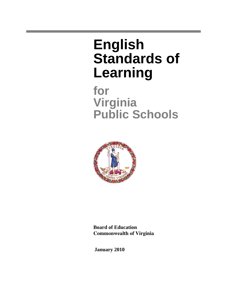# **English Standards of Learning**

**for Virginia Public Schools**



**Board of Education Commonwealth of Virginia** 

**January 2010**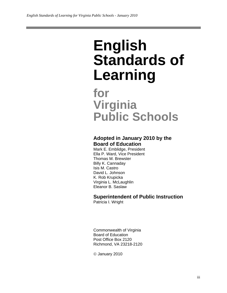# **English Standards of Learning**

# **for Virginia Public Schools**

# **Adopted in January 2010 by the Board of Education**

Mark E. Emblidge, President Ella P. Ward, Vice President Thomas M. Brewster Billy K. Cannaday Isis M. Castro David L. Johnson K. Rob Krupicka Virginia L. McLaughlin Eleanor B. Saslaw

# **Superintendent of Public Instruction**

Patricia I. Wright

Commonwealth of Virginia Board of Education Post Office Box 2120 Richmond, VA 23218-2120

© January 2010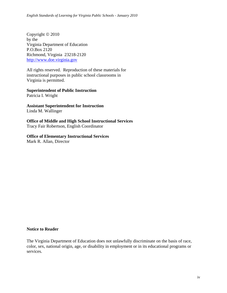Copyright © 2010 by the Virginia Department of Education P.O.Box 2120 Richmond, Virginia 23218-2120 http://www.doe.virginia.gov

All rights reserved. Reproduction of these materials for instructional purposes in public school classrooms in Virginia is permitted.

**Superintendent of Public Instruction** 

Patricia I. Wright

**Assistant Superintendent for Instruction**  Linda M. Wallinger

**Office of Middle and High School Instructional Services**  Tracy Fair Robertson, English Coordinator

#### **Office of Elementary Instructional Services**  Mark R. Allan, Director

#### **Notice to Reader**

The Virginia Department of Education does not unlawfully discriminate on the basis of race, color, sex, national origin, age, or disability in employment or in its educational programs or services.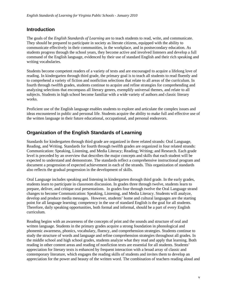#### **Introduction**

The goals of the *English Standards of Learning* are to teach students to read, write, and communicate. They should be prepared to participate in society as literate citizens, equipped with the ability to communicate effectively in their communities, in the workplace, and in postsecondary education. As students progress through the school years, they become active and involved listeners and develop a full command of the English language, evidenced by their use of standard English and their rich speaking and writing vocabularies.

Students become competent readers of a variety of texts and are encouraged to acquire a lifelong love of reading. In kindergarten through third grade, the primary goal is to teach all students to read fluently and to comprehend a variety of fiction and nonfiction selections that relate to all areas of the curriculum. In fourth through twelfth grades, students continue to acquire and refine strategies for comprehending and analyzing selections that encompass all literary genres, exemplify universal themes, and relate to all subjects. Students in high school become familiar with a wide variety of authors and classic literary works.

Proficient use of the English language enables students to explore and articulate the complex issues and ideas encountered in public and personal life. Students acquire the ability to make full and effective use of the written language in their future educational, occupational, and personal endeavors.

### **Organization of the English Standards of Learning**

Standards for kindergarten through third grade are organized in three related strands: Oral Language, Reading, and Writing. Standards for fourth through twelfth grades are organized in four related strands: Communication: Speaking, Listening, and Media Literacy; Reading; Writing; and Research. Each grade level is preceded by an overview that describes the major concepts and skills that each student will be expected to understand and demonstrate. The standards reflect a comprehensive instructional program and document a progression of expected achievement in each of the strands. This organization of standards also reflects the gradual progression in the development of skills.

Oral Language includes speaking and listening in kindergarten through third grade. In the early grades, students learn to participate in classroom discussion. In grades three through twelve, students learn to prepare, deliver, and critique oral presentations. In grades four through twelve the Oral Language strand changes to become Communication: Speaking, Listening, and Media Literacy. Students will analyze, develop and produce media messages. However, students' home and cultural languages are the starting point for all language learning; competency in the use of standard English is the goal for all students. Therefore, daily speaking opportunities, both formal and informal, should be a part of every English curriculum.

Reading begins with an awareness of the concepts of print and the sounds and structure of oral and written language. Students in the primary grades acquire a strong foundation in phonological and phonemic awareness, phonics, vocabulary, fluency, and comprehension strategies. Students continue to study the structure of words and language and refine comprehension strategies throughout all grades. In the middle school and high school grades, students analyze what they read and apply that learning. Both reading in other content areas and reading of nonfiction texts are essential for all students. Students' appreciation for literary texts is enhanced by frequent interaction with a broad array of classic and contemporary literature, which engages the reading skills of students and invites them to develop an appreciation for the power and beauty of the written word. The combination of teachers reading aloud and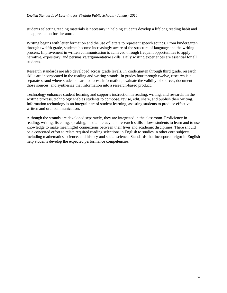students selecting reading materials is necessary in helping students develop a lifelong reading habit and an appreciation for literature.

Writing begins with letter formation and the use of letters to represent speech sounds. From kindergarten through twelfth grade, students become increasingly aware of the structure of language and the writing process. Improvement in written communication is achieved through frequent opportunities to apply narrative, expository, and persuasive/argumentative skills. Daily writing experiences are essential for all students.

Research standards are also developed across grade levels. In kindergarten through third grade, research skills are incorporated in the reading and writing strands. In grades four through twelve, research is a separate strand where students learn to access information, evaluate the validity of sources, document those sources, and synthesize that information into a research-based product.

Technology enhances student learning and supports instruction in reading, writing, and research. In the writing process, technology enables students to compose, revise, edit, share, and publish their writing. Information technology is an integral part of student learning, assisting students to produce effective written and oral communication.

Although the strands are developed separately, they are integrated in the classroom. Proficiency in reading, writing, listening, speaking, media literacy, and research skills allows students to learn and to use knowledge to make meaningful connections between their lives and academic disciplines. There should be a concerted effort to relate required reading selections in English to studies in other core subjects, including mathematics, science, and history and social science. Standards that incorporate rigor in English help students develop the expected performance competencies.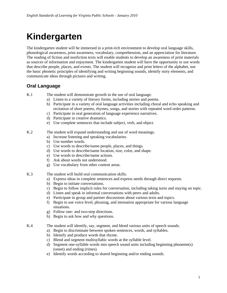# **Kindergarten**

The kindergarten student will be immersed in a print-rich environment to develop oral language skills, phonological awareness, print awareness, vocabulary, comprehension, and an appreciation for literature. The reading of fiction and nonfiction texts will enable students to develop an awareness of print materials as sources of information and enjoyment. The kindergarten student will have the opportunity to use words that describe people, places, and events. The student will recognize and print letters of the alphabet, use the basic phonetic principles of identifying and writing beginning sounds, identify story elements, and communicate ideas through pictures and writing.

# **Oral Language**

K.1 The student will demonstrate growth in the use of oral language.

- a) Listen to a variety of literary forms, including stories and poems.
- b) Participate in a variety of oral language activities including choral and echo speaking and recitation of short poems, rhymes, songs, and stories with repeated word order patterns.
- c) Participate in oral generation of language experience narratives.
- d) Participate in creative dramatics.
- e) Use complete sentences that include subject, verb, and object.
- K.2 The student will expand understanding and use of word meanings.
	- a) Increase listening and speaking vocabularies.
	- b) Use number words.
	- c) Use words to describe/name people, places, and things.
	- d) Use words to describe/name location, size, color, and shape.
	- e) Use words to describe/name actions.
	- f) Ask about words not understood.
	- g) Use vocabulary from other content areas.
- K.3 The student will build oral communication skills.
	- a) Express ideas in complete sentences and express needs through direct requests.
	- b) Begin to initiate conversations.
	- c) Begin to follow implicit rules for conversation, including taking turns and staying on topic.
	- d) Listen and speak in informal conversations with peers and adults.
	- e) Participate in group and partner discussions about various texts and topics.
	- f) Begin to use voice level, phrasing, and intonation appropriate for various language situations.
	- g) Follow one- and two-step directions.
	- h) Begin to ask how and why questions.

K.4 The student will identify, say, segment, and blend various units of speech sounds.

- a) Begin to discriminate between spoken sentences, words, and syllables.
	- b) Identify and produce words that rhyme.
	- c) Blend and segment multisyllabic words at the syllable level.
	- d) Segment one-syllable words into speech sound units including beginning phoneme(s) (onset) and ending (rimes).
- e) Identify words according to shared beginning and/or ending sounds.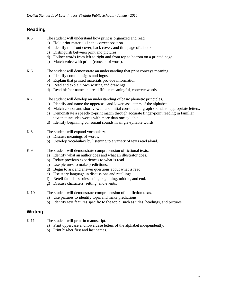- K.5 The student will understand how print is organized and read.
	- a) Hold print materials in the correct position.
	- b) Identify the front cover, back cover, and title page of a book.
	- c) Distinguish between print and pictures.
	- d) Follow words from left to right and from top to bottom on a printed page.
	- e) Match voice with print. (concept of word).
- K.6 The student will demonstrate an understanding that print conveys meaning.
	- a) Identify common signs and logos.
	- b) Explain that printed materials provide information.
	- c) Read and explain own writing and drawings.
	- d) Read his/her name and read fifteen meaningful, concrete words.
- K.7 The student will develop an understanding of basic phonetic principles.
	- a) Identify and name the uppercase and lowercase letters of the alphabet.
	- b) Match consonant, short vowel, and initial consonant digraph sounds to appropriate letters.
	- c) Demonstrate a speech-to-print match through accurate finger-point reading in familiar text that includes words with more than one syllable.
	- d) Identify beginning consonant sounds in single-syllable words.
- K.8 The student will expand vocabulary.
	- a) Discuss meanings of words.
	- b) Develop vocabulary by listening to a variety of texts read aloud.
- K.9 The student will demonstrate comprehension of fictional texts.
	- a) Identify what an author does and what an illustrator does.
	- b) Relate previous experiences to what is read.
	- c) Use pictures to make predictions.
	- d) Begin to ask and answer questions about what is read.
	- e) Use story language in discussions and retellings.
	- f) Retell familiar stories, using beginning, middle, and end.
	- g) Discuss characters, setting, and events.
- K.10 The student will demonstrate comprehension of nonfiction texts.
	- a) Use pictures to identify topic and make predictions.
	- b) Identify text features specific to the topic, such as titles, headings, and pictures.

#### **Writing**

- K.11 The student will print in manuscript.
	- a) Print uppercase and lowercase letters of the alphabet independently.
	- b) Print his/her first and last names.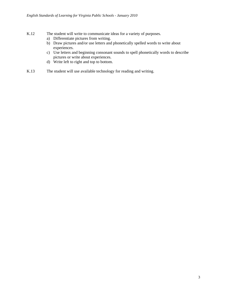- K.12 The student will write to communicate ideas for a variety of purposes.
	- a) Differentiate pictures from writing.
	- b) Draw pictures and/or use letters and phonetically spelled words to write about experiences.
	- c) Use letters and beginning consonant sounds to spell phonetically words to describe pictures or write about experiences.
	- d) Write left to right and top to bottom.
- K.13 The student will use available technology for reading and writing.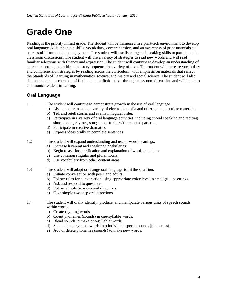# **Grade One**

Reading is the priority in first grade. The student will be immersed in a print-rich environment to develop oral language skills, phonetic skills, vocabulary, comprehension, and an awareness of print materials as sources of information and enjoyment. The student will use listening and speaking skills to participate in classroom discussions. The student will use a variety of strategies to read new words and will read familiar selections with fluency and expression. The student will continue to develop an understanding of character, setting, main idea, and story sequence in a variety of texts. The student will increase vocabulary and comprehension strategies by reading across the curriculum, with emphasis on materials that reflect the Standards of Learning in mathematics, science, and history and social science. The student will also demonstrate comprehension of fiction and nonfiction texts through classroom discussion and will begin to communicate ideas in writing.

# **Oral Language**

1.1 The student will continue to demonstrate growth in the use of oral language.

- a) Listen and respond to a variety of electronic media and other age-appropriate materials.
	- b) Tell and retell stories and events in logical order.
	- c) Participate in a variety of oral language activities, including choral speaking and reciting short poems, rhymes, songs, and stories with repeated patterns.
	- d) Participate in creative dramatics.
	- e) Express ideas orally in complete sentences.
- 1.2 The student will expand understanding and use of word meanings.
	- a) Increase listening and speaking vocabularies.
	- b) Begin to ask for clarification and explanation of words and ideas.
	- c) Use common singular and plural nouns.
	- d) Use vocabulary from other content areas.
- 1.3 The student will adapt or change oral language to fit the situation.
	- a) Initiate conversation with peers and adults.
	- b) Follow rules for conversation using appropriate voice level in small-group settings.
	- c) Ask and respond to questions.
	- d) Follow simple two-step oral directions.
	- e) Give simple two-step oral directions.
- 1.4 The student will orally identify, produce, and manipulate various units of speech sounds within words.
	- a) Create rhyming words.
	- b) Count phonemes (sounds) in one-syllable words.
	- c) Blend sounds to make one-syllable words.
	- d) Segment one-syllable words into individual speech sounds (phonemes).
	- e) Add or delete phonemes (sounds) to make new words.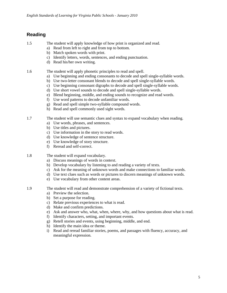- 1.5 The student will apply knowledge of how print is organized and read.
	- a) Read from left to right and from top to bottom.
	- b) Match spoken words with print.
	- c) Identify letters, words, sentences, and ending punctuation.
	- d) Read his/her own writing.

1.6 The student will apply phonetic principles to read and spell.

- a) Use beginning and ending consonants to decode and spell single-syllable words.
- b) Use two-letter consonant blends to decode and spell single-syllable words.
- c) Use beginning consonant digraphs to decode and spell single-syllable words.
- d) Use short vowel sounds to decode and spell single-syllable words.
- e) Blend beginning, middle, and ending sounds to recognize and read words.
- f) Use word patterns to decode unfamiliar words.
- g) Read and spell simple two-syllable compound words.
- h) Read and spell commonly used sight words.
- 1.7 The student will use semantic clues and syntax to expand vocabulary when reading.
	- a) Use words, phrases, and sentences.
	- b) Use titles and pictures.
	- c) Use information in the story to read words.
	- d) Use knowledge of sentence structure.
	- e) Use knowledge of story structure.
	- f) Reread and self-correct.
- 1.8 The student will expand vocabulary.
	- a) Discuss meanings of words in context.
	- b) Develop vocabulary by listening to and reading a variety of texts.
	- c) Ask for the meaning of unknown words and make connections to familiar words.
	- d) Use text clues such as words or pictures to discern meanings of unknown words.
	- e) Use vocabulary from other content areas.
- 1.9 The student will read and demonstrate comprehension of a variety of fictional texts.
	- a) Preview the selection.
	- b) Set a purpose for reading.
	- c) Relate previous experiences to what is read.
	- d) Make and confirm predictions.
	- e) Ask and answer who, what, when, where, why, and how questions about what is read.
	- f) Identify characters, setting, and important events.
	- g) Retell stories and events, using beginning, middle, and end.
	- h) Identify the main idea or theme.
	- i) Read and reread familiar stories, poems, and passages with fluency, accuracy, and meaningful expression.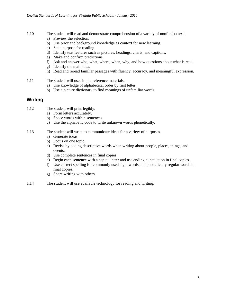- 1.10 The student will read and demonstrate comprehension of a variety of nonfiction texts.
	- a) Preview the selection.
	- b) Use prior and background knowledge as context for new learning.
	- c) Set a purpose for reading.
	- d) Identify text features such as pictures, headings, charts, and captions.
	- e) Make and confirm predictions.
	- f) Ask and answer who, what, where, when, why, and how questions about what is read.
	- g) Identify the main idea.
	- h) Read and reread familiar passages with fluency, accuracy, and meaningful expression.
- 1.11 The student will use simple reference materials.
	- a) Use knowledge of alphabetical order by first letter.
	- b) Use a picture dictionary to find meanings of unfamiliar words.

- 1.12 The student will print legibly.
	- a) Form letters accurately.
	- b) Space words within sentences.
	- c) Use the alphabetic code to write unknown words phonetically.
- 1.13 The student will write to communicate ideas for a variety of purposes.
	- a) Generate ideas.
	- b) Focus on one topic.
	- c) Revise by adding descriptive words when writing about people, places, things, and events.
	- d) Use complete sentences in final copies.
	- e) Begin each sentence with a capital letter and use ending punctuation in final copies.
	- f) Use correct spelling for commonly used sight words and phonetically regular words in final copies.
	- g) Share writing with others.
- 1.14 The student will use available technology for reading and writing.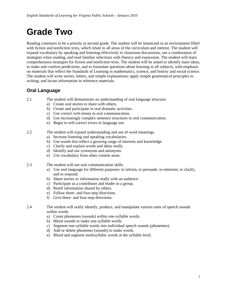# **Grade Two**

Reading continues to be a priority in second grade. The student will be immersed in an environment filled with fiction and nonfiction texts, which relate to all areas of the curriculum and interest. The student will expand vocabulary by speaking and listening effectively in classroom discussions, use a combination of strategies when reading, and read familiar selections with fluency and expression. The student will learn comprehension strategies for fiction and nonfiction texts. The student will be asked to identify main ideas, to make and confirm predictions, and to formulate questions about learning in all subjects, with emphasis on materials that reflect the Standards of Learning in mathematics, science, and history and social science. The student will write stories, letters, and simple explanations; apply simple grammatical principles to writing; and locate information in reference materials.

# **Oral Language**

- 2.1 The student will demonstrate an understanding of oral language structure.
	- a) Create oral stories to share with others.
	- b) Create and participate in oral dramatic activities.
	- c) Use correct verb tenses in oral communication.
	- d) Use increasingly complex sentence structures in oral communication.
	- e) Begin to self-correct errors in language use.
- 2.2 The student will expand understanding and use of word meanings.
	- a) Increase listening and speaking vocabularies.
	- b) Use words that reflect a growing range of interests and knowledge.
	- c) Clarify and explain words and ideas orally.
	- d) Identify and use synonyms and antonyms.
	- e) Use vocabulary from other content areas.
- 2.3 The student will use oral communication skills.
	- a) Use oral language for different purposes: to inform, to persuade, to entertain, to clarify, and to respond.
	- b) Share stories or information orally with an audience.
	- c) Participate as a contributor and leader in a group.
	- d) Retell information shared by others.
	- e) Follow three- and four-step directions.
	- f) Give three- and four-step directions.

2.4 The student will orally identify, produce, and manipulate various units of speech sounds within words.

- a) Count phonemes (sounds) within one-syllable words.
- b) Blend sounds to make one-syllable words.
- c) Segment one-syllable words into individual speech sounds (phonemes).
- d) Add or delete phonemes (sounds) to make words.
- e) Blend and segment multisyllabic words at the syllable level.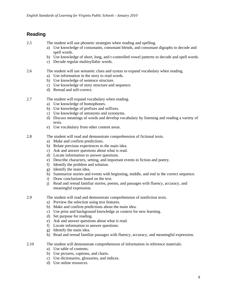2.5 The student will use phonetic strategies when reading and spelling.

- a) Use knowledge of consonants, consonant blends, and consonant digraphs to decode and spell words.
- b) Use knowledge of short, long, and r-controlled vowel patterns to decode and spell words.
- c) Decode regular multisyllabic words.
- 2.6 The student will use semantic clues and syntax to expand vocabulary when reading.
	- a) Use information in the story to read words.
	- b) Use knowledge of sentence structure.
	- c) Use knowledge of story structure and sequence.
	- d) Reread and self-correct.
- 2.7 The student will expand vocabulary when reading.
	- a) Use knowledge of homophones.
	- b) Use knowledge of prefixes and suffixes.
	- c) Use knowledge of antonyms and synonyms.
	- d) Discuss meanings of words and develop vocabulary by listening and reading a variety of texts.
	- e) Use vocabulary from other content areas.
- 2.8 The student will read and demonstrate comprehension of fictional texts.
	- a) Make and confirm predictions.
	- b) Relate previous experiences to the main idea.
	- c) Ask and answer questions about what is read.
	- d) Locate information to answer questions.
	- e) Describe characters, setting, and important events in fiction and poetry.
	- f) Identify the problem and solution.
	- g) Identify the main idea.
	- h) Summarize stories and events with beginning, middle, and end in the correct sequence.
	- i) Draw conclusions based on the text.
	- j) Read and reread familiar stories, poems, and passages with fluency, accuracy, and meaningful expression.
- 2.9 The student will read and demonstrate comprehension of nonfiction texts.
	- a) Preview the selection using text features.
	- b) Make and confirm predictions about the main idea.
	- c) Use prior and background knowledge as context for new learning.
	- d) Set purpose for reading.
	- e) Ask and answer questions about what is read.
	- f) Locate information to answer questions.
	- g) Identify the main idea.
	- h) Read and reread familiar passages with fluency, accuracy, and meaningful expression.
- 2.10 The student will demonstrate comprehension of information in reference materials.
	- a) Use table of contents.
	- b) Use pictures, captions, and charts.
	- c) Use dictionaries, glossaries, and indices.
	- d) Use online resources.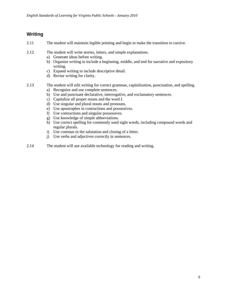- 2.11 The student will maintain legible printing and begin to make the transition to cursive.
- 2.12 The student will write stories, letters, and simple explanations.
	- a) Generate ideas before writing.
	- b) Organize writing to include a beginning, middle, and end for narrative and expository writing.
	- c) Expand writing to include descriptive detail.
	- d) Revise writing for clarity.
- 2.13 The student will edit writing for correct grammar, capitalization, punctuation, and spelling.
	- a) Recognize and use complete sentences.
	- b) Use and punctuate declarative, interrogative, and exclamatory sentences.
	- c) Capitalize all proper nouns and the word *I*.
	- d) Use singular and plural nouns and pronouns.
	- e) Use apostrophes in contractions and possessives.
	- f) Use contractions and singular possessives.
	- g) Use knowledge of simple abbreviations.
	- h) Use correct spelling for commonly used sight words, including compound words and regular plurals.
	- i) Use commas in the salutation and closing of a letter.
	- j) Use verbs and adjectives correctly in sentences.
- 2.14 The student will use available technology for reading and writing.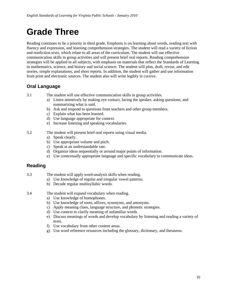# **Grade Three**

Reading continues to be a priority in third grade. Emphasis is on learning about words, reading text with fluency and expression, and learning comprehension strategies. The student will read a variety of fiction and nonfiction texts, which relate to all areas of the curriculum. The student will use effective communication skills in group activities and will present brief oral reports. Reading comprehension strategies will be applied in all subjects, with emphasis on materials that reflect the Standards of Learning in mathematics, science, and history and social science. The student will plan, draft, revise, and edit stories, simple explanations, and short reports. In addition, the student will gather and use information from print and electronic sources. The student also will write legibly in cursive.

# **Oral Language**

3.1 The student will use effective communication skills in group activities.

- a) Listen attentively by making eye contact, facing the speaker, asking questions, and summarizing what is said.
- b) Ask and respond to questions from teachers and other group members.
- c) Explain what has been learned.
- d) Use language appropriate for context.
- e) Increase listening and speaking vocabularies.
- 3.2 The student will present brief oral reports using visual media.
	- a) Speak clearly.
	- b) Use appropriate volume and pitch.
	- c) Speak at an understandable rate.
	- d) Organize ideas sequentially or around major points of information.
	- e) Use contextually appropriate language and specific vocabulary to communicate ideas.

### **Reading**

- 3.3 The student will apply word-analysis skills when reading.
	- a) Use knowledge of regular and irregular vowel patterns.
	- b) Decode regular multisyllabic words.
- 3.4 The student will expand vocabulary when reading.
	- a) Use knowledge of homophones.
	- b) Use knowledge of roots, affixes, synonyms, and antonyms.
	- c) Apply meaning clues, language structure, and phonetic strategies.
	- d) Use context to clarify meaning of unfamiliar words.
	- e) Discuss meanings of words and develop vocabulary by listening and reading a variety of texts.
	- f) Use vocabulary from other content areas.
	- g) Use word reference resources including the glossary, dictionary, and thesaurus.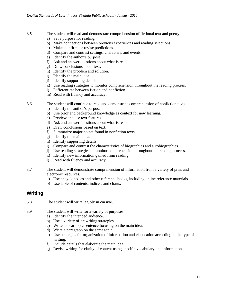- 
- 3.5 The student will read and demonstrate comprehension of fictional text and poetry.
	- a) Set a purpose for reading.
	- b) Make connections between previous experiences and reading selections.
	- c) Make, confirm, or revise predictions.
	- d) Compare and contrast settings, characters, and events.
	- e) Identify the author's purpose.
	- f) Ask and answer questions about what is read.
	- g) Draw conclusions about text.
	- h) Identify the problem and solution.
	- i) Identify the main idea.
	- j) Identify supporting details.
	- k) Use reading strategies to monitor comprehension throughout the reading process.
	- l) Differentiate between fiction and nonfiction.
	- m) Read with fluency and accuracy.

3.6 The student will continue to read and demonstrate comprehension of nonfiction texts.

- a) Identify the author's purpose.
- b) Use prior and background knowledge as context for new learning.
- c) Preview and use text features.
- d) Ask and answer questions about what is read.
- e) Draw conclusions based on text.
- f) Summarize major points found in nonfiction texts.
- g) Identify the main idea.
- h) Identify supporting details.
- i) Compare and contrast the characteristics of biographies and autobiographies.
- j) Use reading strategies to monitor comprehension throughout the reading process.
- k) Identify new information gained from reading.
- l) Read with fluency and accuracy.
- 3.7 The student will demonstrate comprehension of information from a variety of print and electronic resources.
	- a) Use encyclopedias and other reference books, including online reference materials.
	- b) Use table of contents, indices, and charts.

#### **Writing**

- 3.8 The student will write legibly in cursive.
- 3.9 The student will write for a variety of purposes.
	- a) Identify the intended audience.
	- b) Use a variety of prewriting strategies.
	- c) Write a clear topic sentence focusing on the main idea.
	- d) Write a paragraph on the same topic.
	- e) Use strategies for organization of information and elaboration according to the type of writing.
	- f) Include details that elaborate the main idea.
	- g) Revise writing for clarity of content using specific vocabulary and information.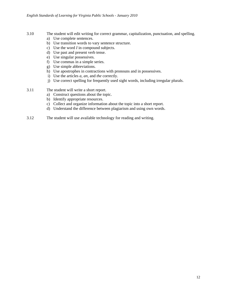- 3.10 The student will edit writing for correct grammar, capitalization, punctuation, and spelling.
	- a) Use complete sentences.
	- b) Use transition words to vary sentence structure.
	- c) Use the word *I* in compound subjects.
	- d) Use past and present verb tense.
	- e) Use singular possessives.
	- f) Use commas in a simple series.
	- g) Use simple abbreviations.
	- h) Use apostrophes in contractions with pronouns and in possessives.
	- i) Use the articles *a*, *an*, and *the* correctly.
	- j) Use correct spelling for frequently used sight words, including irregular plurals.
- 3.11 The student will write a short report.
	- a) Construct questions about the topic.
	- b) Identify appropriate resources.
	- c) Collect and organize information about the topic into a short report.
	- d) Understand the difference between plagiarism and using own words.
- 3.12 The student will use available technology for reading and writing.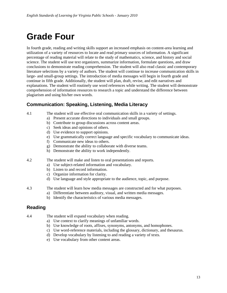# **Grade Four**

In fourth grade, reading and writing skills support an increased emphasis on content-area learning and utilization of a variety of resources to locate and read primary sources of information. A significant percentage of reading material will relate to the study of mathematics, science, and history and social science. The student will use text organizers, summarize information, formulate questions, and draw conclusions to demonstrate reading comprehension. The student will also read classic and contemporary literature selections by a variety of authors. The student will continue to increase communication skills in large- and small-group settings. The introduction of media messages will begin in fourth grade and continue in fifth grade. Additionally, the student will plan, draft, revise, and edit narratives and explanations. The student will routinely use word references while writing. The student will demonstrate comprehension of information resources to research a topic and understand the difference between plagiarism and using his/her own words.

# **Communication: Speaking, Listening, Media Literacy**

- 
- 4.1 The student will use effective oral communication skills in a variety of settings.
	- a) Present accurate directions to individuals and small groups.
	- b) Contribute to group discussions across content areas.
	- c) Seek ideas and opinions of others.
	- d) Use evidence to support opinions.
	- e) Use grammatically correct language and specific vocabulary to communicate ideas.
	- f) Communicate new ideas to others.
	- g) Demonstrate the ability to collaborate with diverse teams.
	- h) Demonstrate the ability to work independently.
- 4.2 The student will make and listen to oral presentations and reports.
	- a) Use subject-related information and vocabulary.
	- b) Listen to and record information.
	- c) Organize information for clarity.
	- d) Use language and style appropriate to the audience, topic, and purpose.
- 4.3 The student will learn how media messages are constructed and for what purposes.
	- a) Differentiate between auditory, visual, and written media messages.
	- b) Identify the characteristics of various media messages.

# **Reading**

- 4.4 The student will expand vocabulary when reading.
	- a) Use context to clarify meanings of unfamiliar words.
	- b) Use knowledge of roots, affixes, synonyms, antonyms, and homophones.
	- c) Use word-reference materials, including the glossary, dictionary, and thesaurus.
	- d) Develop vocabulary by listening to and reading a variety of texts.
	- e) Use vocabulary from other content areas.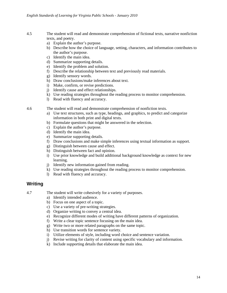- 4.5 The student will read and demonstrate comprehension of fictional texts, narrative nonfiction texts, and poetry.
	- a) Explain the author's purpose.
	- b) Describe how the choice of language, setting, characters, and information contributes to the author's purpose.
	- c) Identify the main idea.
	- d) Summarize supporting details.
	- e) Identify the problem and solution.
	- f) Describe the relationship between text and previously read materials.
	- g) Identify sensory words.
	- h) Draw conclusions/make inferences about text.
	- i) Make, confirm, or revise predictions.
	- j) Identify cause and effect relationships.
	- k) Use reading strategies throughout the reading process to monitor comprehension.
	- l) Read with fluency and accuracy.

4.6 The student will read and demonstrate comprehension of nonfiction texts.

- a) Use text structures, such as type, headings, and graphics, to predict and categorize information in both print and digital texts.
- b) Formulate questions that might be answered in the selection.
- c) Explain the author's purpose.
- d) Identify the main idea.
- e) Summarize supporting details.
- f) Draw conclusions and make simple inferences using textual information as support.
- g) Distinguish between cause and effect.
- h) Distinguish between fact and opinion.
- i) Use prior knowledge and build additional background knowledge as context for new learning.
- j) Identify new information gained from reading.
- k) Use reading strategies throughout the reading process to monitor comprehension.
- l) Read with fluency and accuracy.

#### **Writing**

4.7 The student will write cohesively for a variety of purposes.

- a) Identify intended audience.
- b) Focus on one aspect of a topic.
- c) Use a variety of pre-writing strategies.
- d) Organize writing to convey a central idea.
- e) Recognize different modes of writing have different patterns of organization.
- f) Write a clear topic sentence focusing on the main idea.
- g) Write two or more related paragraphs on the same topic.
- h) Use transition words for sentence variety.
- i) Utilize elements of style, including word choice and sentence variation.
- j) Revise writing for clarity of content using specific vocabulary and information.
- k) Include supporting details that elaborate the main idea.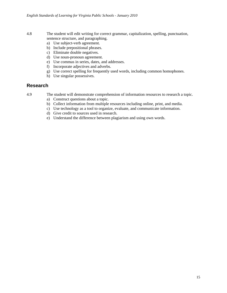- 4.8 The student will edit writing for correct grammar, capitalization, spelling, punctuation, sentence structure, and paragraphing.
	- a) Use subject-verb agreement.
	- b) Include prepositional phrases.
	- c) Eliminate double negatives.
	- d) Use noun-pronoun agreement.
	- e) Use commas in series, dates, and addresses.
	- f) Incorporate adjectives and adverbs.
	- g) Use correct spelling for frequently used words, including common homophones.
	- h) Use singular possessives.

#### **Research**

4.9 The student will demonstrate comprehension of information resources to research a topic.

- a) Construct questions about a topic.
- b) Collect information from multiple resources including online, print, and media.
- c) Use technology as a tool to organize, evaluate, and communicate information.
- d) Give credit to sources used in research.
- e) Understand the difference between plagiarism and using own words.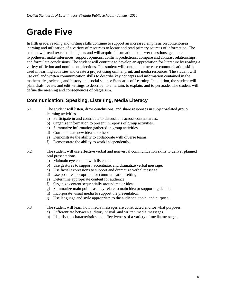# **Grade Five**

In fifth grade, reading and writing skills continue to support an increased emphasis on content-area learning and utilization of a variety of resources to locate and read primary sources of information. The student will read texts in all subjects and will acquire information to answer questions, generate hypotheses, make inferences, support opinions, confirm predictions, compare and contrast relationships, and formulate conclusions. The student will continue to develop an appreciation for literature by reading a variety of fiction and nonfiction selections. The student will continue to increase communication skills used in learning activities and create a project using online, print, and media resources. The student will use oral and written communication skills to describe key concepts and information contained in the mathematics, science, and history and social science Standards of Learning. In addition, the student will plan, draft, revise, and edit writings to describe, to entertain, to explain, and to persuade. The student will define the meaning and consequences of plagiarism.

# **Communication: Speaking, Listening, Media Literacy**

5.1 The student will listen, draw conclusions, and share responses in subject-related group learning activities.

- a) Participate in and contribute to discussions across content areas.
- b) Organize information to present in reports of group activities.
- c) Summarize information gathered in group activities.
- d) Communicate new ideas to others.
- e) Demonstrate the ability to collaborate with diverse teams.
- f) Demonstrate the ability to work independently.
- 5.2 The student will use effective verbal and nonverbal communication skills to deliver planned oral presentations.
	- a) Maintain eye contact with listeners.
	- b) Use gestures to support, accentuate, and dramatize verbal message.
	- c) Use facial expressions to support and dramatize verbal message.
	- d) Use posture appropriate for communication setting.
	- e) Determine appropriate content for audience.
	- f) Organize content sequentially around major ideas.
	- g) Summarize main points as they relate to main idea or supporting details.
	- h) Incorporate visual media to support the presentation.
	- i) Use language and style appropriate to the audience, topic, and purpose.
- 5.3 The student will learn how media messages are constructed and for what purposes.
	- a) Differentiate between auditory, visual, and written media messages.
	- b) Identify the characteristics and effectiveness of a variety of media messages.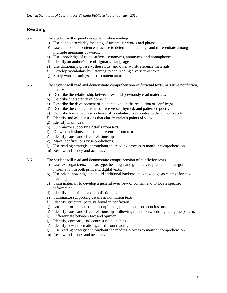5.4 The student will expand vocabulary when reading.

- a) Use context to clarify meaning of unfamiliar words and phrases.
- b) Use context and sentence structure to determine meanings and differentiate among multiple meanings of words.
- c) Use knowledge of roots, affixes, synonyms, antonyms, and homophones.
- d) Identify an author's use of figurative language.
- e) Use dictionary, glossary, thesaurus, and other word-reference materials.
- f) Develop vocabulary by listening to and reading a variety of texts.
- g) Study word meanings across content areas.
- 5.5 The student will read and demonstrate comprehension of fictional texts, narrative nonfiction, and poetry.
	- a) Describe the relationship between text and previously read materials.
	- b) Describe character development.
	- c) Describe the development of plot and explain the resolution of conflict(s).
	- d) Describe the characteristics of free verse, rhymed, and patterned poetry.
	- e) Describe how an author's choice of vocabulary contributes to the author's style.
	- f) Identify and ask questions that clarify various points of view.
	- g) Identify main idea.
	- h) Summarize supporting details from text.
	- i) Draw conclusions and make inferences from text.
	- j) Identify cause and effect relationships.
	- k) Make, confirm, or revise predictions.
	- l) Use reading strategies throughout the reading process to monitor comprehension.
	- m) Read with fluency and accuracy.

5.6 The student will read and demonstrate comprehension of nonfiction texts.

- a) Use text organizers, such as type, headings, and graphics, to predict and categorize information in both print and digital texts.
- b) Use prior knowledge and build additional background knowledge as context for new learning.
- c) Skim materials to develop a general overview of content and to locate specific information.
- d) Identify the main idea of nonfiction texts.
- e) Summarize supporting details in nonfiction texts.
- f) Identify structural patterns found in nonfiction.
- g) Locate information to support opinions, predictions, and conclusions.
- h) Identify cause and effect relationships following transition words signaling the pattern.
- i) Differentiate between fact and opinion.
- j) Identify, compare, and contrast relationships.
- k) Identify new information gained from reading.
- l) Use reading strategies throughout the reading process to monitor comprehension.
- m) Read with fluency and accuracy.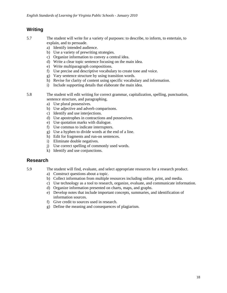- 5.7 The student will write for a variety of purposes: to describe, to inform, to entertain, to explain, and to persuade.
	- a) Identify intended audience.
	- b) Use a variety of prewriting strategies.
	- c) Organize information to convey a central idea.
	- d) Write a clear topic sentence focusing on the main idea.
	- e) Write multiparagraph compositions.
	- f) Use precise and descriptive vocabulary to create tone and voice.
	- g) Vary sentence structure by using transition words.
	- h) Revise for clarity of content using specific vocabulary and information.
	- i) Include supporting details that elaborate the main idea.
- 5.8 The student will edit writing for correct grammar, capitalization, spelling, punctuation, sentence structure, and paragraphing.
	- a) Use plural possessives.
	- b) Use adjective and adverb comparisons.
	- c) Identify and use interjections.
	- d) Use apostrophes in contractions and possessives.
	- e) Use quotation marks with dialogue.
	- f) Use commas to indicate interrupters.
	- g) Use a hyphen to divide words at the end of a line.
	- h) Edit for fragments and run-on sentences.
	- i) Eliminate double negatives.
	- j) Use correct spelling of commonly used words.
	- k) Identify and use conjunctions.

#### **Research**

- 5.9 The student will find, evaluate, and select appropriate resources for a research product.
	- a) Construct questions about a topic.
	- b) Collect information from multiple resources including online, print, and media.
	- c) Use technology as a tool to research, organize, evaluate, and communicate information.
	- d) Organize information presented on charts, maps, and graphs.
	- e) Develop notes that include important concepts, summaries, and identification of information sources.
	- f) Give credit to sources used in research.
	- g) Define the meaning and consequences of plagiarism.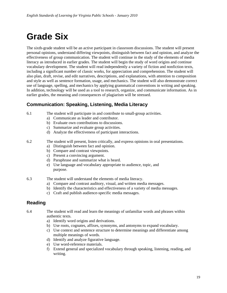# **Grade Six**

The sixth-grade student will be an active participant in classroom discussions. The student will present personal opinions, understand differing viewpoints, distinguish between fact and opinion, and analyze the effectiveness of group communication. The student will continue in the study of the elements of media literacy as introduced in earlier grades. The student will begin the study of word origins and continue vocabulary development. The student will read independently a variety of fiction and nonfiction texts, including a significant number of classic works, for appreciation and comprehension. The student will also plan, draft, revise, and edit narratives, descriptions, and explanations, with attention to composition and style as well as sentence formation, usage, and mechanics. The student will also demonstrate correct use of language, spelling, and mechanics by applying grammatical conventions in writing and speaking. In addition, technology will be used as a tool to research, organize, and communicate information. As in earlier grades, the meaning and consequences of plagiarism will be stressed.

# **Communication: Speaking, Listening, Media Literacy**

- 6.1 The student will participate in and contribute to small-group activities.
	- a) Communicate as leader and contributor.
	- b) Evaluate own contributions to discussions.
	- c) Summarize and evaluate group activities.
	- d) Analyze the effectiveness of participant interactions.

#### 6.2 The student will present, listen critically, and express opinions in oral presentations.

- a) Distinguish between fact and opinion.
- b) Compare and contrast viewpoints.
- c) Present a convincing argument.
- d) Paraphrase and summarize what is heard.
- e) Use language and vocabulary appropriate to audience, topic, and purpose.
- 6.3 The student will understand the elements of media literacy.
	- a) Compare and contrast auditory, visual, and written media messages.
	- b) Identify the characteristics and effectiveness of a variety of media messages.
	- c) Craft and publish audience-specific media messages.

### **Reading**

- 6.4 The student will read and learn the meanings of unfamiliar words and phrases within authentic texts.
	- a) Identify word origins and derivations.
	- b) Use roots, cognates, affixes, synonyms, and antonyms to expand vocabulary.
	- c) Use context and sentence structure to determine meanings and differentiate among multiple meanings of words.
	- d) Identify and analyze figurative language.
	- e) Use word-reference materials.
	- f) Extend general and specialized vocabulary through speaking, listening, reading, and writing.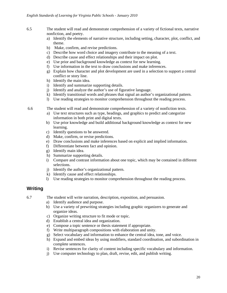- 6.5 The student will read and demonstrate comprehension of a variety of fictional texts, narrative nonfiction, and poetry.
	- a) Identify the elements of narrative structure, including setting, character, plot, conflict, and theme.
	- b) Make, confirm, and revise predictions.
	- c) Describe how word choice and imagery contribute to the meaning of a text.
	- d) Describe cause and effect relationships and their impact on plot.
	- e) Use prior and background knowledge as context for new learning.
	- f) Use information in the text to draw conclusions and make inferences.
	- g) Explain how character and plot development are used in a selection to support a central conflict or story line.
	- h) Identify the main idea.
	- i) Identify and summarize supporting details.
	- j) Identify and analyze the author's use of figurative language.
	- k) Identify transitional words and phrases that signal an author's organizational pattern.
	- l) Use reading strategies to monitor comprehension throughout the reading process.

6.6 The student will read and demonstrate comprehension of a variety of nonfiction texts.

- a) Use text structures such as type, headings, and graphics to predict and categorize information in both print and digital texts.
- b) Use prior knowledge and build additional background knowledge as context for new learning.
- c) Identify questions to be answered.
- d) Make, confirm, or revise predictions.
- e) Draw conclusions and make inferences based on explicit and implied information.
- f) Differentiate between fact and opinion.
- g) Identify main idea.
- h) Summarize supporting details.
- i) Compare and contrast information about one topic, which may be contained in different selections.
- j) Identify the author's organizational pattern.
- k) Identify cause and effect relationships.
- l) Use reading strategies to monitor comprehension throughout the reading process.

#### **Writing**

6.7 The student will write narration, description, exposition, and persuasion.

- a) Identify audience and purpose.
- b) Use a variety of prewriting strategies including graphic organizers to generate and organize ideas.
- c) Organize writing structure to fit mode or topic.
- d) Establish a central idea and organization.
- e) Compose a topic sentence or thesis statement if appropriate.
- f) Write multiparagraph compositions with elaboration and unity.
- g) Select vocabulary and information to enhance the central idea, tone, and voice.
- h) Expand and embed ideas by using modifiers, standard coordination, and subordination in complete sentences.
- i) Revise sentences for clarity of content including specific vocabulary and information.
- j) Use computer technology to plan, draft, revise, edit, and publish writing.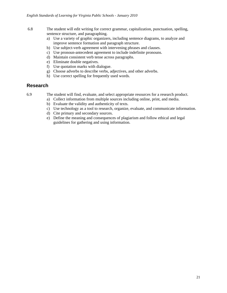- 6.8 The student will edit writing for correct grammar, capitalization, punctuation, spelling, sentence structure, and paragraphing.
	- a) Use a variety of graphic organizers, including sentence diagrams, to analyze and improve sentence formation and paragraph structure.
	- b) Use subject-verb agreement with intervening phrases and clauses.
	- c) Use pronoun-antecedent agreement to include indefinite pronouns.
	- d) Maintain consistent verb tense across paragraphs.
	- e) Eliminate double negatives.
	- f) Use quotation marks with dialogue.
	- g) Choose adverbs to describe verbs, adjectives, and other adverbs.
	- h) Use correct spelling for frequently used words.

#### **Research**

6.9 The student will find, evaluate, and select appropriate resources for a research product.

- a) Collect information from multiple sources including online, print, and media.
- b) Evaluate the validity and authenticity of texts.
- c) Use technology as a tool to research, organize, evaluate, and communicate information.
- d) Cite primary and secondary sources.
- e) Define the meaning and consequences of plagiarism and follow ethical and legal guidelines for gathering and using information.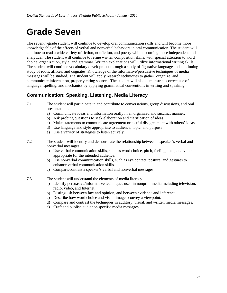# **Grade Seven**

The seventh-grade student will continue to develop oral communication skills and will become more knowledgeable of the effects of verbal and nonverbal behaviors in oral communication. The student will continue to read a wide variety of fiction, nonfiction, and poetry while becoming more independent and analytical. The student will continue to refine written composition skills, with special attention to word choice, organization, style, and grammar. Written explanations will utilize informational writing skills. The student will continue vocabulary development through a study of figurative language and continuing study of roots, affixes, and cognates. Knowledge of the informative/persuasive techniques of media messages will be studied. The student will apply research techniques to gather, organize, and communicate information, properly citing sources. The student will also demonstrate correct use of language, spelling, and mechanics by applying grammatical conventions in writing and speaking.

# **Communication: Speaking, Listening, Media Literacy**

- 7.1 The student will participate in and contribute to conversations, group discussions, and oral presentations.
	- a) Communicate ideas and information orally in an organized and succinct manner.
	- b) Ask probing questions to seek elaboration and clarification of ideas.
	- c) Make statements to communicate agreement or tactful disagreement with others' ideas.
	- d) Use language and style appropriate to audience, topic, and purpose.
	- e) Use a variety of strategies to listen actively.
- 7.2 The student will identify and demonstrate the relationship between a speaker's verbal and nonverbal messages.
	- a) Use verbal communication skills, such as word choice, pitch, feeling, tone, and voice appropriate for the intended audience.
	- b) Use nonverbal communication skills, such as eye contact, posture, and gestures to enhance verbal communication skills.
	- c) Compare/contrast a speaker's verbal and nonverbal messages.
- 7.3 The student will understand the elements of media literacy.
	- a) Identify persuasive/informative techniques used in nonprint media including television, radio, video, and Internet.
	- b) Distinguish between fact and opinion, and between evidence and inference.
	- c) Describe how word choice and visual images convey a viewpoint.
	- d) Compare and contrast the techniques in auditory, visual, and written media messages.
	- e) Craft and publish audience-specific media messages.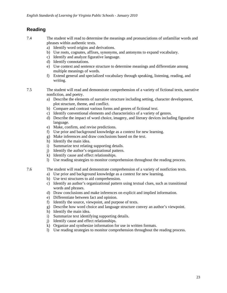- 7.4 The student will read to determine the meanings and pronunciations of unfamiliar words and phrases within authentic texts.
	- a) Identify word origins and derivations.
	- b) Use roots, cognates, affixes, synonyms, and antonyms to expand vocabulary.
	- c) Identify and analyze figurative language.
	- d) Identify connotations.
	- e) Use context and sentence structure to determine meanings and differentiate among multiple meanings of words.
	- f) Extend general and specialized vocabulary through speaking, listening, reading, and writing.
- 7.5 The student will read and demonstrate comprehension of a variety of fictional texts, narrative nonfiction, and poetry.
	- a) Describe the elements of narrative structure including setting, character development, plot structure, theme, and conflict.
	- b) Compare and contrast various forms and genres of fictional text.
	- c) Identify conventional elements and characteristics of a variety of genres.
	- d) Describe the impact of word choice, imagery, and literary devices including figurative language.
	- e) Make, confirm, and revise predictions.
	- f) Use prior and background knowledge as a context for new learning.
	- g) Make inferences and draw conclusions based on the text.
	- h) Identify the main idea.
	- i) Summarize text relating supporting details.
	- j) Identify the author's organizational pattern.
	- k) Identify cause and effect relationships.
	- l) Use reading strategies to monitor comprehension throughout the reading process.
- 7.6 The student will read and demonstrate comprehension of a variety of nonfiction texts.
	- a) Use prior and background knowledge as a context for new learning.
	- b) Use text structures to aid comprehension.
	- c) Identify an author's organizational pattern using textual clues, such as transitional words and phrases.
	- d) Draw conclusions and make inferences on explicit and implied information.
	- e) Differentiate between fact and opinion.
	- f) Identify the source, viewpoint, and purpose of texts.
	- g) Describe how word choice and language structure convey an author's viewpoint.
	- h) Identify the main idea.
	- i) Summarize text identifying supporting details.
	- j) Identify cause and effect relationships.
	- k) Organize and synthesize information for use in written formats.
	- l) Use reading strategies to monitor comprehension throughout the reading process.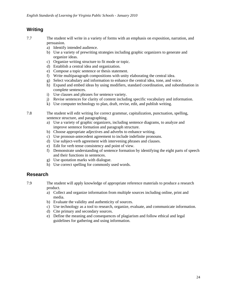- 7.7 The student will write in a variety of forms with an emphasis on exposition, narration, and persuasion.
	- a) Identify intended audience.
	- b) Use a variety of prewriting strategies including graphic organizers to generate and organize ideas.
	- c) Organize writing structure to fit mode or topic.
	- d) Establish a central idea and organization.
	- e) Compose a topic sentence or thesis statement.
	- f) Write multiparagraph compositions with unity elaborating the central idea.
	- g) Select vocabulary and information to enhance the central idea, tone, and voice.
	- h) Expand and embed ideas by using modifiers, standard coordination, and subordination in complete sentences.
	- i) Use clauses and phrases for sentence variety.
	- j) Revise sentences for clarity of content including specific vocabulary and information.
	- k) Use computer technology to plan, draft, revise, edit, and publish writing.

7.8 The student will edit writing for correct grammar, capitalization, punctuation, spelling, sentence structure, and paragraphing.

- a) Use a variety of graphic organizers, including sentence diagrams, to analyze and improve sentence formation and paragraph structure.
- b) Choose appropriate adjectives and adverbs to enhance writing.
- c) Use pronoun-antecedent agreement to include indefinite pronouns.
- d) Use subject-verb agreement with intervening phrases and clauses.
- e) Edit for verb tense consistency and point of view.
- f) Demonstrate understanding of sentence formation by identifying the eight parts of speech and their functions in sentences.
- g) Use quotation marks with dialogue.
- h) Use correct spelling for commonly used words.

### **Research**

7.9 The student will apply knowledge of appropriate reference materials to produce a research product.

- a) Collect and organize information from multiple sources including online, print and media.
- b) Evaluate the validity and authenticity of sources.
- c) Use technology as a tool to research, organize, evaluate, and communicate information.
- d) Cite primary and secondary sources.
- e) Define the meaning and consequences of plagiarism and follow ethical and legal guidelines for gathering and using information.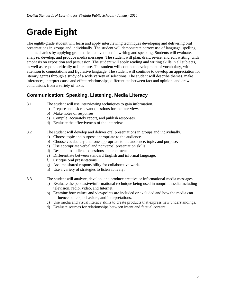# **Grade Eight**

The eighth-grade student will learn and apply interviewing techniques developing and delivering oral presentations in groups and individually. The student will demonstrate correct use of language, spelling, and mechanics by applying grammatical conventions in writing and speaking. Students will evaluate, analyze, develop, and produce media messages. The student will plan, draft, revise, and edit writing, with emphasis on exposition and persuasion. The student will apply reading and writing skills in all subjects, as well as respond critically to literature. The student will continue development of vocabulary, with attention to connotations and figurative language. The student will continue to develop an appreciation for literary genres through a study of a wide variety of selections. The student will describe themes, make inferences, interpret cause and effect relationships, differentiate between fact and opinion, and draw conclusions from a variety of texts.

# **Communication: Speaking, Listening, Media Literacy**

- 8.1 The student will use interviewing techniques to gain information.
	- a) Prepare and ask relevant questions for the interview.
	- b) Make notes of responses.
	- c) Compile, accurately report, and publish responses.
	- d) Evaluate the effectiveness of the interview.

#### 8.2 The student will develop and deliver oral presentations in groups and individually.

- a) Choose topic and purpose appropriate to the audience.
- b) Choose vocabulary and tone appropriate to the audience, topic, and purpose.
- c) Use appropriate verbal and nonverbal presentation skills.
- d) Respond to audience questions and comments.
- e) Differentiate between standard English and informal language.
- f) Critique oral presentations.
- g) Assume shared responsibility for collaborative work.
- h) Use a variety of strategies to listen actively.

8.3 The student will analyze, develop, and produce creative or informational media messages.

- a) Evaluate the persuasive/informational technique being used in nonprint media including television, radio, video, and Internet.
- b) Examine how values and viewpoints are included or excluded and how the media can influence beliefs, behaviors, and interpretations.
- c) Use media and visual literacy skills to create products that express new understandings.
- d) Evaluate sources for relationships between intent and factual content.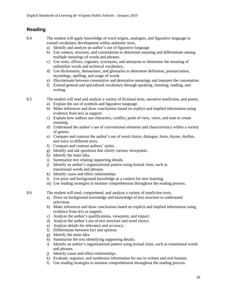8.4 The student will apply knowledge of word origins, analogies, and figurative language to extend vocabulary development within authentic texts.

- a) Identify and analyze an author's use of figurative language.
- b) Use context, structure, and connotations to determine meaning and differentiate among multiple meanings of words and phrases.
- c) Use roots, affixes, cognates, synonyms, and antonyms to determine the meaning of unfamiliar words and technical vocabulary.
- d) Use dictionaries, thesauruses, and glossaries to determine definition, pronunciation, etymology, spelling, and usage of words.
- e) Discriminate between connotative and denotative meanings and interpret the connotation.
- f) Extend general and specialized vocabulary through speaking, listening, reading, and writing.

8.5 The student will read and analyze a variety of fictional texts, narrative nonfiction, and poetry.

- a) Explain the use of symbols and figurative language.
- b) Make inferences and draw conclusions based on explicit and implied information using evidence from text as support.
- c) Explain how authors use characters, conflict, point of view, voice, and tone to create meaning.
- d) Understand the author's use of conventional elements and characteristics within a variety of genres.
- e) Compare and contrast the author's use of word choice, dialogue, form, rhyme, rhythm, and voice in different texts.
- f) Compare and contrast authors' styles.
- g) Identify and ask questions that clarify various viewpoints.
- h) Identify the main idea.
- i) Summarize text relating supporting details.
- j) Identify an author's organizational pattern using textual clues, such as transitional words and phrases.
- k) Identify cause and effect relationships.
- l) Use prior and background knowledge as a context for new learning.
- m) Use reading strategies to monitor comprehension throughout the reading process.
- 8.6 The student will read, comprehend, and analyze a variety of nonfiction texts.
	- a) Draw on background knowledge and knowledge of text structure to understand selections.
	- b) Make inferences and draw conclusions based on explicit and implied information using evidence from text as support.
	- c) Analyze the author's qualifications, viewpoint, and impact.
	- d) Analyze the author's use of text structure and word choice.
	- e) Analyze details for relevance and accuracy.
	- f) Differentiate between fact and opinion.
	- g) Identify the main idea.
	- h) Summarize the text identifying supporting details.
	- i) Identify an author's organizational pattern using textual clues, such as transitional words and phrases.
	- j) Identify cause and effect relationships.
	- k) Evaluate, organize, and synthesize information for use in written and oral formats.
	- l) Use reading strategies to monitor comprehension throughout the reading process.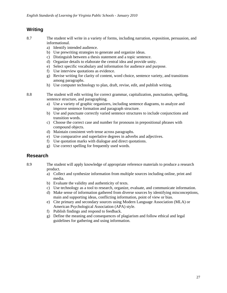- 8.7 The student will write in a variety of forms, including narration, exposition, persuasion, and informational.
	- a) Identify intended audience.
	- b) Use prewriting strategies to generate and organize ideas.
	- c) Distinguish between a thesis statement and a topic sentence.
	- d) Organize details to elaborate the central idea and provide unity.
	- e) Select specific vocabulary and information for audience and purpose.
	- f) Use interview quotations as evidence.
	- g) Revise writing for clarity of content, word choice, sentence variety, and transitions among paragraphs.
	- h) Use computer technology to plan, draft, revise, edit, and publish writing.
- 8.8 The student will edit writing for correct grammar, capitalization, punctuation, spelling, sentence structure, and paragraphing.
	- a) Use a variety of graphic organizers, including sentence diagrams, to analyze and improve sentence formation and paragraph structure.
	- b) Use and punctuate correctly varied sentence structures to include conjunctions and transition words.
	- c) Choose the correct case and number for pronouns in prepositional phrases with compound objects.
	- d) Maintain consistent verb tense across paragraphs.
	- e) Use comparative and superlative degrees in adverbs and adjectives.
	- f) Use quotation marks with dialogue and direct quotations.
	- g) Use correct spelling for frequently used words.

### **Research**

- 8.9 The student will apply knowledge of appropriate reference materials to produce a research product.
	- a) Collect and synthesize information from multiple sources including online, print and media.
	- b) Evaluate the validity and authenticity of texts.
	- c) Use technology as a tool to research, organize, evaluate, and communicate information.
	- d) Make sense of information gathered from diverse sources by identifying misconceptions, main and supporting ideas, conflicting information, point of view or bias.
	- e) Cite primary and secondary sources using Modern Language Association (MLA) or American Psychological Association (APA) style.
	- f) Publish findings and respond to feedback.
	- g) Define the meaning and consequences of plagiarism and follow ethical and legal guidelines for gathering and using information.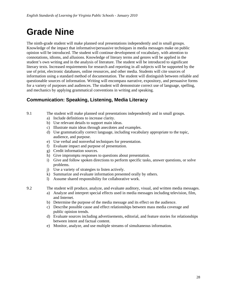# **Grade Nine**

The ninth-grade student will make planned oral presentations independently and in small groups. Knowledge of the impact that informative/persuasive techniques in media messages make on public opinion will be introduced. The student will continue development of vocabulary, with attention to connotations, idioms, and allusions. Knowledge of literary terms and genres will be applied in the student's own writing and in the analysis of literature. The student will be introduced to significant literary texts. Increased requirements for research and reporting in all subjects will be supported by the use of print, electronic databases, online resources, and other media. Students will cite sources of information using a standard method of documentation. The student will distinguish between reliable and questionable sources of information. Writing will encompass narrative, expository, and persuasive forms for a variety of purposes and audiences. The student will demonstrate correct use of language, spelling, and mechanics by applying grammatical conventions in writing and speaking.

# **Communication: Speaking, Listening, Media Literacy**

- 9.1 The student will make planned oral presentations independently and in small groups.
	- a) Include definitions to increase clarity.
	- b) Use relevant details to support main ideas.
	- c) Illustrate main ideas through anecdotes and examples.
	- d) Use grammatically correct language, including vocabulary appropriate to the topic, audience, and purpose.
	- e) Use verbal and nonverbal techniques for presentation.
	- f) Evaluate impact and purpose of presentation.
	- g) Credit information sources.
	- h) Give impromptu responses to questions about presentation.
	- i) Give and follow spoken directions to perform specific tasks, answer questions, or solve problems.
	- j) Use a variety of strategies to listen actively.
	- k) Summarize and evaluate information presented orally by others.
	- l) Assume shared responsibility for collaborative work.
- 9.2 The student will produce, analyze, and evaluate auditory, visual, and written media messages.
	- a) Analyze and interpret special effects used in media messages including television, film, and Internet.
	- b) Determine the purpose of the media message and its effect on the audience.
	- c) Describe possible cause and effect relationships between mass media coverage and public opinion trends.
	- d) Evaluate sources including advertisements, editorial, and feature stories for relationships between intent and factual content.
	- e) Monitor, analyze, and use multiple streams of simultaneous information.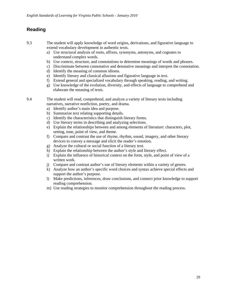9.3 The student will apply knowledge of word origins, derivations, and figurative language to extend vocabulary development in authentic texts.

- a) Use structural analysis of roots, affixes, synonyms, antonyms, and cognates to understand complex words.
- b) Use context, structure, and connotations to determine meanings of words and phrases.
- c) Discriminate between connotative and denotative meanings and interpret the connotation.
- d) Identify the meaning of common idioms.
- e) Identify literary and classical allusions and figurative language in text.
- f) Extend general and specialized vocabulary through speaking, reading, and writing.
- g) Use knowledge of the evolution, diversity, and effects of language to comprehend and elaborate the meaning of texts.

9.4 The student will read, comprehend, and analyze a variety of literary texts including narratives, narrative nonfiction, poetry, and drama.

- a) Identify author's main idea and purpose.
- b) Summarize text relating supporting details.
- c) Identify the characteristics that distinguish literary forms.
- d) Use literary terms in describing and analyzing selections.
- e) Explain the relationships between and among elements of literature: characters, plot, setting, tone, point of view, and theme.
- f) Compare and contrast the use of rhyme, rhythm, sound, imagery, and other literary devices to convey a message and elicit the reader's emotion.
- g) Analyze the cultural or social function of a literary text.
- h) Explain the relationship between the author's style and literary effect.
- i) Explain the influence of historical context on the form, style, and point of view of a written work.
- j) Compare and contrast author's use of literary elements within a variety of genres.
- k) Analyze how an author's specific word choices and syntax achieve special effects and support the author's purpose.
- l) Make predictions, inferences, draw conclusions, and connect prior knowledge to support reading comprehension.
- m) Use reading strategies to monitor comprehension throughout the reading process.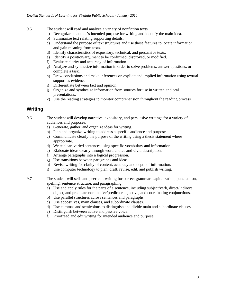- 9.5 The student will read and analyze a variety of nonfiction texts.
	- a) Recognize an author's intended purpose for writing and identify the main idea.
	- b) Summarize text relating supporting details.
	- c) Understand the purpose of text structures and use those features to locate information and gain meaning from texts.
	- d) Identify characteristics of expository, technical, and persuasive texts.
	- e) Identify a position/argument to be confirmed, disproved, or modified.
	- f) Evaluate clarity and accuracy of information.
	- g) Analyze and synthesize information in order to solve problems, answer questions, or complete a task.
	- h) Draw conclusions and make inferences on explicit and implied information using textual support as evidence.
	- i) Differentiate between fact and opinion.
	- j) Organize and synthesize information from sources for use in written and oral presentations.
	- k) Use the reading strategies to monitor comprehension throughout the reading process.

9.6 The student will develop narrative, expository, and persuasive writings for a variety of audiences and purposes.

- a) Generate, gather, and organize ideas for writing.
- b) Plan and organize writing to address a specific audience and purpose.
- c) Communicate clearly the purpose of the writing using a thesis statement where appropriate.
- d) Write clear, varied sentences using specific vocabulary and information.
- e) Elaborate ideas clearly through word choice and vivid description.
- f) Arrange paragraphs into a logical progression.
- g) Use transitions between paragraphs and ideas.
- h) Revise writing for clarity of content, accuracy and depth of information.
- i) Use computer technology to plan, draft, revise, edit, and publish writing.
- 9.7 The student will self- and peer-edit writing for correct grammar, capitalization, punctuation, spelling, sentence structure, and paragraphing.
	- a) Use and apply rules for the parts of a sentence, including subject/verb, direct/indirect object, and predicate nominative/predicate adjective, and coordinating conjunctions.
	- b) Use parallel structures across sentences and paragraphs.
	- c) Use appositives, main clauses, and subordinate clauses.
	- d) Use commas and semicolons to distinguish and divide main and subordinate clauses.
	- e) Distinguish between active and passive voice.
	- f) Proofread and edit writing for intended audience and purpose.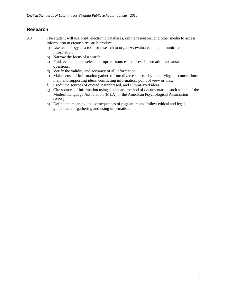# **Research**

9.8 The student will use print, electronic databases, online resources, and other media to access information to create a research product.

- a) Use technology as a tool for research to organize, evaluate, and communicate information.
- b) Narrow the focus of a search.
- c) Find, evaluate, and select appropriate sources to access information and answer questions.
- d) Verify the validity and accuracy of all information.
- e) Make sense of information gathered from diverse sources by identifying misconceptions, main and supporting ideas, conflicting information, point of view or bias.
- f) Credit the sources of quoted, paraphrased, and summarized ideas.
- g) Cite sources of information using a standard method of documentation such as that of the Modern Language Association (MLA) or the American Psychological Association (APA).
- h) Define the meaning and consequences of plagiarism and follow ethical and legal guidelines for gathering and using information.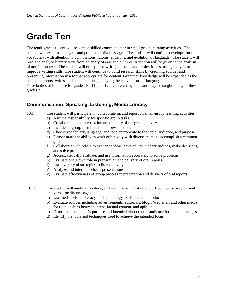# **Grade Ten**

The tenth-grade student will become a skilled communicator in small-group learning activities. The student will examine, analyze, and produce media messages. The student will continue development of vocabulary, with attention to connotations, idioms, allusions, and evolution of language. The student will read and analyze literary texts from a variety of eras and cultures. Attention will be given to the analysis of nonfiction texts. The student will critique the writing of peers and professionals, using analysis to improve writing skills. The student will continue to build research skills by crediting sources and presenting information in a format appropriate for content. Grammar knowledge will be expanded as the student presents, writes, and edits materials, applying the conventions of language. \*The bodies of literature for grades 10, 11, and 12 are interchangeable and may be taught in any of these grades.\*

# **Communication: Speaking, Listening, Media Literacy**

- 10.1 The student will participate in, collaborate in, and report on small-group learning activities.
	- a) Assume responsibility for specific group tasks.
	- b) Collaborate in the preparation or summary of the group activity.
	- c) Include all group members in oral presentation.
	- d) Choose vocabulary, language, and tone appropriate to the topic, audience, and purpose.
	- e) Demonstrate the ability to work effectively with diverse teams to accomplish a common goal.
	- f) Collaborate with others to exchange ideas, develop new understandings, make decisions, and solve problems.
	- g) Access, critically evaluate, and use information accurately to solve problems.
	- h) Evaluate one's own role in preparation and delivery of oral reports.
	- i) Use a variety of strategies to listen actively.
	- j) Analyze and interpret other's presentations.
	- k) Evaluate effectiveness of group process in preparation and delivery of oral reports.
- 10.2 The student will analyze, produce, and examine similarities and differences between visual and verbal media messages.
	- a) Use media, visual literacy, and technology skills to create products.
	- b) Evaluate sources including advertisements, editorials, blogs, Web sites, and other media for relationships between intent, factual content, and opinion.
	- c) Determine the author's purpose and intended effect on the audience for media messages.
	- d) Identify the tools and techniques used to achieve the intended focus.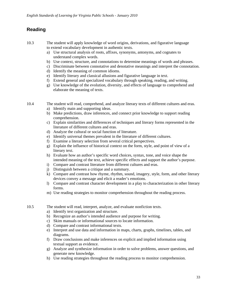10.3 The student will apply knowledge of word origins, derivations, and figurative language to extend vocabulary development in authentic texts.

- a) Use structural analysis of roots, affixes, synonyms, antonyms, and cognates to understand complex words.
- b) Use context, structure, and connotations to determine meanings of words and phrases.
- c) Discriminate between connotative and denotative meanings and interpret the connotation.
- d) Identify the meaning of common idioms.
- e) Identify literary and classical allusions and figurative language in text.
- f) Extend general and specialized vocabulary through speaking, reading, and writing.
- g) Use knowledge of the evolution, diversity, and effects of language to comprehend and elaborate the meaning of texts.

10.4 The student will read, comprehend, and analyze literary texts of different cultures and eras.

- a) Identify main and supporting ideas.
- b) Make predictions, draw inferences, and connect prior knowledge to support reading comprehension.
- c) Explain similarities and differences of techniques and literary forms represented in the literature of different cultures and eras.
- d) Analyze the cultural or social function of literature.
- e) Identify universal themes prevalent in the literature of different cultures.
- f) Examine a literary selection from several critical perspectives.
- g) Explain the influence of historical context on the form, style, and point of view of a literary text.
- h) Evaluate how an author's specific word choices, syntax, tone, and voice shape the intended meaning of the text, achieve specific effects and support the author's purpose.
- i) Compare and contrast literature from different cultures and eras.
- j) Distinguish between a critique and a summary.
- k) Compare and contrast how rhyme, rhythm, sound, imagery, style, form, and other literary devices convey a message and elicit a reader's emotions.
- l) Compare and contrast character development in a play to characterization in other literary forms.
- m) Use reading strategies to monitor comprehension throughout the reading process.
- 10.5 The student will read, interpret, analyze, and evaluate nonfiction texts.
	- a) Identify text organization and structure.
	- b) Recognize an author's intended audience and purpose for writing.
	- c) Skim manuals or informational sources to locate information.
	- d) Compare and contrast informational texts.
	- e) Interpret and use data and information in maps, charts, graphs, timelines, tables, and diagrams.
	- f) Draw conclusions and make inferences on explicit and implied information using textual support as evidence.
	- g) Analyze and synthesize information in order to solve problems, answer questions, and generate new knowledge.
	- h) Use reading strategies throughout the reading process to monitor comprehension.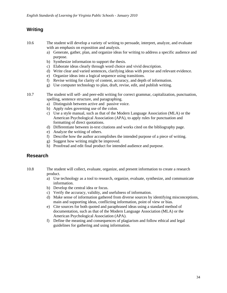- 10.6 The student will develop a variety of writing to persuade, interpret, analyze, and evaluate with an emphasis on exposition and analysis.
	- a) Generate, gather, plan, and organize ideas for writing to address a specific audience and purpose.
	- b) Synthesize information to support the thesis.
	- c) Elaborate ideas clearly through word choice and vivid description.
	- d) Write clear and varied sentences, clarifying ideas with precise and relevant evidence.
	- e) Organize ideas into a logical sequence using transitions.
	- f) Revise writing for clarity of content, accuracy, and depth of information.
	- g) Use computer technology to plan, draft, revise, edit, and publish writing.
- 10.7 The student will self- and peer-edit writing for correct grammar, capitalization, punctuation, spelling, sentence structure, and paragraphing.
	- a) Distinguish between active and passive voice.
	- b) Apply rules governing use of the colon.
	- c) Use a style manual, such as that of the Modern Language Association (MLA) or the American Psychological Association (APA), to apply rules for punctuation and formatting of direct quotations.
	- d) Differentiate between in-text citations and works cited on the bibliography page.
	- e) Analyze the writing of others.
	- f) Describe how the author accomplishes the intended purpose of a piece of writing.
	- g) Suggest how writing might be improved.
	- h) Proofread and edit final product for intended audience and purpose.

### **Research**

- 10.8 The student will collect, evaluate, organize, and present information to create a research product.
	- a) Use technology as a tool to research, organize, evaluate, synthesize, and communicate information.
	- b) Develop the central idea or focus.
	- c) Verify the accuracy, validity, and usefulness of information.
	- d) Make sense of information gathered from diverse sources by identifying misconceptions, main and supporting ideas, conflicting information, point of view or bias.
	- e) Cite sources for both quoted and paraphrased ideas using a standard method of documentation, such as that of the Modern Language Association (MLA) or the American Psychological Association (APA).
	- f) Define the meaning and consequences of plagiarism and follow ethical and legal guidelines for gathering and using information.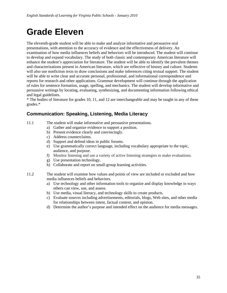# **Grade Eleven**

The eleventh-grade student will be able to make and analyze informative and persuasive oral presentations, with attention to the accuracy of evidence and the effectiveness of delivery. An examination of how media influences beliefs and behaviors will be introduced. The student will continue to develop and expand vocabulary. The study of both classic and contemporary American literature will enhance the student's appreciation for literature. The student will be able to identify the prevalent themes and characterizations present in American literature, which are reflective of history and culture. Students will also use nonfiction texts to draw conclusions and make inferences citing textual support. The student will be able to write clear and accurate personal, professional, and informational correspondence and reports for research and other applications. Grammar development will continue through the application of rules for sentence formation, usage, spelling, and mechanics. The student will develop informative and persuasive writings by locating, evaluating, synthesizing, and documenting information following ethical and legal guidelines.

\* The bodies of literature for grades 10, 11, and 12 are interchangeable and may be taught in any of these grades.\*

### **Communication: Speaking, Listening, Media Literacy**

- 11.1 The student will make informative and persuasive presentations.
	- a) Gather and organize evidence to support a position.
		- b) Present evidence clearly and convincingly.
		- c) Address counterclaims.
		- d) Support and defend ideas in public forums.
		- e) Use grammatically correct language, including vocabulary appropriate to the topic, audience, and purpose.
		- f) Monitor listening and use a variety of active listening strategies to make evaluations.
		- g) Use presentation technology.
		- h) Collaborate and report on small-group learning activities.
- 11.2 The student will examine how values and points of view are included or excluded and how media influences beliefs and behaviors.
	- a) Use technology and other information tools to organize and display knowledge in ways others can view, use, and assess.
	- b) Use media, visual literacy, and technology skills to create products.
	- c) Evaluate sources including advertisements, editorials, blogs, Web sites, and other media for relationships between intent, factual content, and opinion.
	- d) Determine the author's purpose and intended effect on the audience for media messages.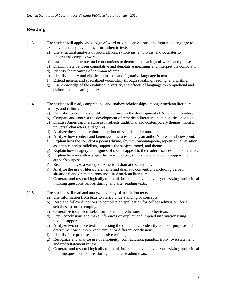- 11.3 The student will apply knowledge of word origins, derivations, and figurative language to extend vocabulary development in authentic texts.
	- a) Use structural analysis of roots, affixes, synonyms, antonyms, and cognates to understand complex words.
	- b) Use context, structure, and connotations to determine meanings of words and phrases.
	- c) Discriminate between connotative and denotative meanings and interpret the connotation.
	- d) Identify the meaning of common idioms.
	- e) Identify literary and classical allusions and figurative language in text.
	- f) Extend general and specialized vocabulary through speaking, reading, and writing.
	- g) Use knowledge of the evolution, diversity, and effects of language to comprehend and elaborate the meaning of texts.
- 11.4 The student will read, comprehend, and analyze relationships among American literature, history, and culture.
	- a) Describe contributions of different cultures to the development of American literature.
	- b) Compare and contrast the development of American literature in its historical context.
	- c) Discuss American literature as it reflects traditional and contemporary themes, motifs, universal characters, and genres.
	- d) Analyze the social or cultural function of American literature.
	- e) Analyze how context and language structures convey an author's intent and viewpoint.
	- f) Explain how the sound of a poem (rhyme, rhythm, onomatopoeia, repetition, alliteration, assonance, and parallelism) supports the subject, mood, and theme.
	- g) Explain how imagery and figures of speech appeal to the reader's senses and experience.
	- h) Explain how an author's specific word choices, syntax, tone, and voice support the author's purpose.
	- i) Read and analyze a variety of American dramatic selections.
	- j) Analyze the use of literary elements and dramatic conventions including verbal, situational and dramatic irony used in American literature.
	- k) Generate and respond logically to literal, inferential, evaluative, synthesizing, and critical thinking questions before, during, and after reading texts.
- 11.5 The student will read and analyze a variety of nonfiction texts.
	- a) Use information from texts to clarify understanding of concepts.
	- b) Read and follow directions to complete an application for college admission, for a scholarship, or for employment.
	- c) Generalize ideas from selections to make predictions about other texts.
	- d) Draw conclusions and make inferences on explicit and implied information using textual support.
	- e) Analyze two or more texts addressing the same topic to identify authors' purpose and determine how authors reach similar or different conclusions.
	- f) Identify false premises in persuasive writing.
	- g) Recognize and analyze use of ambiguity, contradiction, paradox, irony, overstatement, and understatement in text.
	- h) Generate and respond logically to literal, inferential, evaluative, synthesizing, and critical thinking questions before, during, and after reading texts.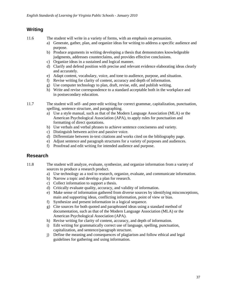11.6 The student will write in a variety of forms, with an emphasis on persuasion.

- a) Generate, gather, plan, and organize ideas for writing to address a specific audience and purpose.
- b) Produce arguments in writing developing a thesis that demonstrates knowledgeable judgments, addresses counterclaims, and provides effective conclusions.
- c) Organize ideas in a sustained and logical manner.
- d) Clarify and defend position with precise and relevant evidence elaborating ideas clearly and accurately.
- e) Adapt content, vocabulary, voice, and tone to audience, purpose, and situation.
- f) Revise writing for clarity of content, accuracy and depth of information.
- g) Use computer technology to plan, draft, revise, edit, and publish writing.
- h) Write and revise correspondence to a standard acceptable both in the workplace and in postsecondary education.
- 11.7 The student will self- and peer-edit writing for correct grammar, capitalization, punctuation, spelling, sentence structure, and paragraphing.
	- a) Use a style manual, such as that of the Modern Language Association (MLA) or the American Psychological Association (APA), to apply rules for punctuation and formatting of direct quotations.
	- b) Use verbals and verbal phrases to achieve sentence conciseness and variety.
	- c) Distinguish between active and passive voice.
	- d) Differentiate between in-text citations and works cited on the bibliography page.
	- e) Adjust sentence and paragraph structures for a variety of purposes and audiences.
	- f) Proofread and edit writing for intended audience and purpose.

### **Research**

- 11.8 The student will analyze, evaluate, synthesize, and organize information from a variety of sources to produce a research product.
	- a) Use technology as a tool to research, organize, evaluate, and communicate information.
	- b) Narrow a topic and develop a plan for research.
	- c) Collect information to support a thesis.
	- d) Critically evaluate quality, accuracy, and validity of information.
	- e) Make sense of information gathered from diverse sources by identifying misconceptions, main and supporting ideas, conflicting information, point of view or bias.
	- f) Synthesize and present information in a logical sequence.
	- g) Cite sources for both quoted and paraphrased ideas using a standard method of documentation, such as that of the Modern Language Association (MLA) or the American Psychological Association (APA).
	- h) Revise writing for clarity of content, accuracy, and depth of information.
	- i) Edit writing for grammatically correct use of language, spelling, punctuation, capitalization, and sentence/paragraph structure.
	- j) Define the meaning and consequences of plagiarism and follow ethical and legal guidelines for gathering and using information.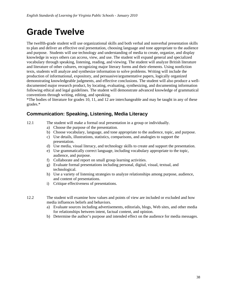# **Grade Twelve**

The twelfth-grade student will use organizational skills and both verbal and nonverbal presentation skills to plan and deliver an effective oral presentation, choosing language and tone appropriate to the audience and purpose. Students will use technology and understanding of media to create, organize, and display knowledge in ways others can access, view, and use. The student will expand general and specialized vocabulary through speaking, listening, reading, and viewing. The student will analyze British literature and literature of other cultures, recognizing major literary forms and their elements. Using nonfiction texts, students will analyze and synthesize information to solve problems. Writing will include the production of informational, expository, and persuasive/argumentative papers, logically organized demonstrating knowledgeable judgments, and effective conclusions. The student will also produce a welldocumented major research product, by locating, evaluating, synthesizing, and documenting information following ethical and legal guidelines. The student will demonstrate advanced knowledge of grammatical conventions through writing, editing, and speaking.

\*The bodies of literature for grades 10, 11, and 12 are interchangeable and may be taught in any of these grades.\*

# **Communication: Speaking, Listening, Media Literacy**

- 12.1 The student will make a formal oral presentation in a group or individually.
	- a) Choose the purpose of the presentation.
	- b) Choose vocabulary, language, and tone appropriate to the audience, topic, and purpose.
	- c) Use details, illustrations, statistics, comparisons, and analogies to support the presentation.
	- d) Use media, visual literacy, and technology skills to create and support the presentation.
	- e) Use grammatically correct language, including vocabulary appropriate to the topic, audience, and purpose.
	- f) Collaborate and report on small group learning activities.
	- g) Evaluate formal presentations including personal, digital, visual, textual, and technological.
	- h) Use a variety of listening strategies to analyze relationships among purpose, audience, and content of presentations.
	- i) Critique effectiveness of presentations.
- 12.2 The student will examine how values and points of view are included or excluded and how media influences beliefs and behaviors.
	- a) Evaluate sources including advertisements, editorials, blogs, Web sites, and other media for relationships between intent, factual content, and opinion.
	- b) Determine the author's purpose and intended effect on the audience for media messages.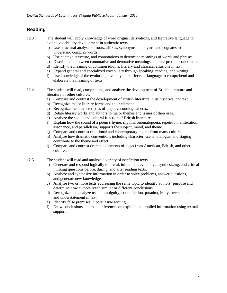- 12.3 The student will apply knowledge of word origins, derivations, and figurative language to extend vocabulary development in authentic texts.
	- a) Use structural analysis of roots, affixes, synonyms, antonyms, and cognates to understand complex words.
	- b) Use context, structure, and connotations to determine meanings of words and phrases.
	- c) Discriminate between connotative and denotative meanings and interpret the connotation.
	- d) Identify the meaning of common idioms, literary and classical allusions in text.
	- e) Expand general and specialized vocabulary through speaking, reading, and writing.
	- f) Use knowledge of the evolution, diversity, and effects of language to comprehend and elaborate the meaning of texts.
- 12.4 The student will read, comprehend, and analyze the development of British literature and literature of other cultures.
	- a) Compare and contrast the development of British literature in its historical context.
	- b) Recognize major literary forms and their elements.
	- c) Recognize the characteristics of major chronological eras.
	- d) Relate literary works and authors to major themes and issues of their eras.
	- e) Analyze the social and cultural function of British literature.
	- f) Explain how the sound of a poem (rhyme, rhythm, onomatopoeia, repetition, alliteration, assonance, and parallelism) supports the subject, mood, and theme.
	- g) Compare and contrast traditional and contemporary poems from many cultures.
	- h) Analyze how dramatic conventions including character, scene, dialogue, and staging contribute to the theme and effect.
	- i) Compare and contrast dramatic elements of plays from American, British, and other cultures.
- 12.5 The student will read and analyze a variety of nonfiction texts.
	- a) Generate and respond logically to literal, inferential, evaluative, synthesizing, and critical thinking questions before, during, and after reading texts.
	- b) Analyze and synthesize information in order to solve problems, answer questions, and generate new knowledge.
	- c) Analyze two or more texts addressing the same topic to identify authors' purpose and determine how authors reach similar or different conclusions.
	- d) Recognize and analyze use of ambiguity, contradiction, paradox, irony, overstatement, and understatement in text.
	- e) Identify false premises in persuasive writing.
	- f) Draw conclusions and make inferences on explicit and implied information using textual support.